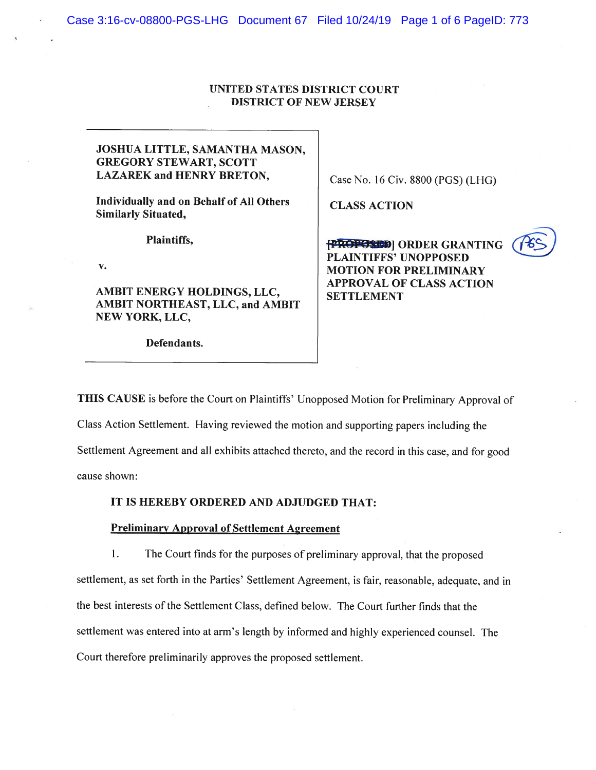# UNITED STATES DISTRICT COURT DISTRICT OF NEW JERSEY

# JOSHUA LITTLE, SAMANTHA MASON, GREGORY STEWART, SCOTT LAZAREK and HENRY BRETON,

Individually and on Behalf of All Others Similarly Situated,

Plaintiffs,

V.

AMBIT ENERGY HOLDINGS, LLC, AMBIT NORTHEAST, LLC, and AMBIT NEW YORK, LLC,

Defendants.

Case No. 16 Civ. 8800 (PGS)(LHG)

CLASS ACTION

**fPROPOSED** | ORDER GRANTING PLAINTIFFS' UNOPPOSED MOTION FOR PRELIMINARY APPROVAL OF CLASS ACTION SETTLEMENT



THIS CAUSE is before the Court on Plaintiffs' Unopposed Motion for Preliminary Approval of Class Action Settlement. Having reviewed the motion and supporting papers including the Settlement Agreement and all exhibits attached thereto, and the record in this case, and for goo<sup>d</sup> cause shown:

## IT IS HEREBY ORDERED AND ADJUDGED THAT:

## Preliminary Approval of Settlement Agreement

1. The Court finds for the purposes of preliminary approval, that the propose<sup>d</sup> settlement, as set forth in the Parties' Settlement Agreement. is fair, reasonable, adequate. and in the best interests of the Settlement Class, defined below. The Court further finds that the settlement was entered into at arm's length by informed and highly experienced counsel. The Court therefore preliminarily approves the proposed settlement.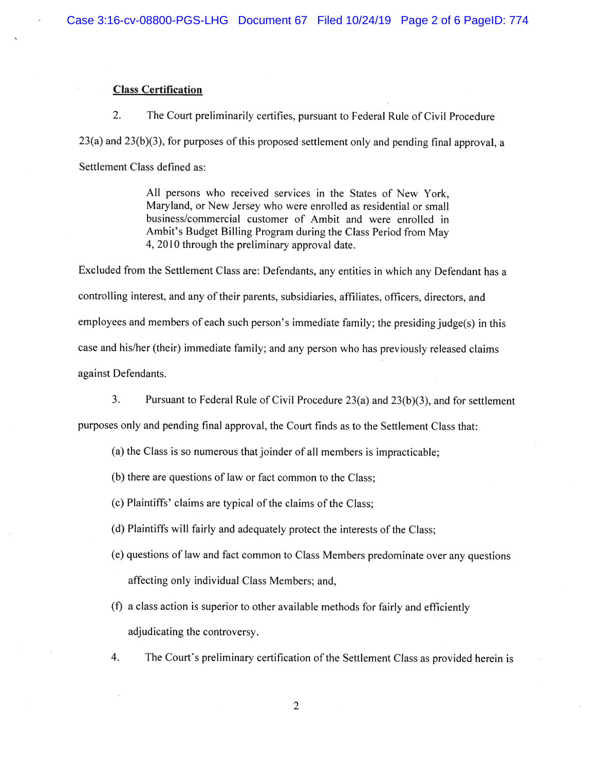## Class Certification

2. The Court preliminarily certifies, pursuant to Federal Rule of Civil Procedure 23(a) and 23(b)(3), for purposes of this proposed settlement only and pending final approval, <sup>a</sup> Settlement Class defined as:

> All persons who received services in the States of New York, Maryland, or New Jersey who were enrolled as residential or small business/commercial customer of Ambit and were enrolled in Ambit's Budget Billing Program during the Class Period from May 4, 2010 through the preliminary approval date.

Excluded from the Settlement Class are: Defendants, any entities in which any Defendant has <sup>a</sup> controlling interest, and any of their parents, subsidiaries, affiliates, officers, directors, and employees and members of each such person's immediate family; the presiding judge(s) in this case and his/her (their) immediate family; and any person who has previously released claims against Defendants.

3. Pursuant to Federal Rule of Civil Procedure 23(a) and 23(b)(3), and for settlement

purposes only and pending final approval, the Court finds as to the Settlement Class that:

- (a) the Class is so numerous that joinder of all members is impracticable;
- (b) there are questions of law or fact common to the Class;
- (c) Plaintiffs' claims are typical of the claims of the Class;
- (d) Plaintiffs will fairly and adequately protect the interests of the Class;
- (e) questions of law and fact common to Class Members predominate over any questions affecting only individual Class Members; and,
- (f) <sup>a</sup> class action is superior to other available methods for fairly and efficiently' adjudicating the controversy.
- 4. The Court's preliminary certification of the Settlement Class as provided herein is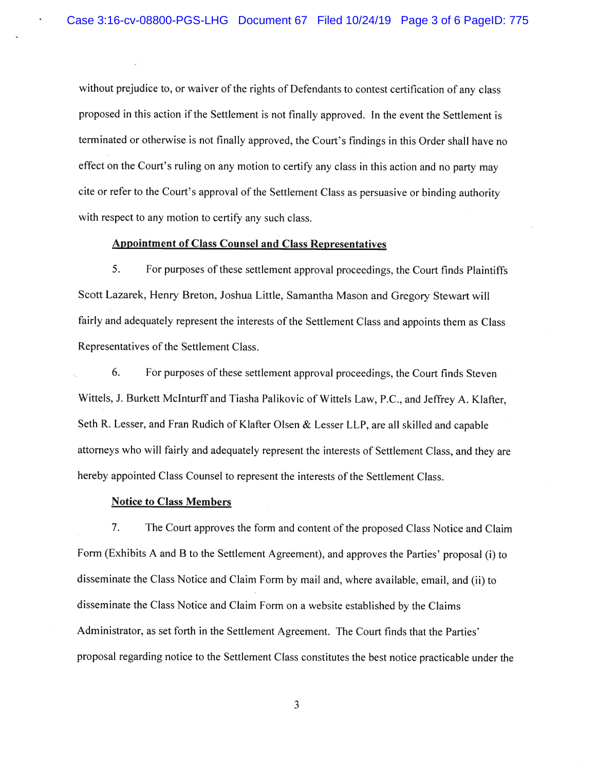without prejudice to, or waiver of the rights of Defendants to contest certification of any class propose<sup>d</sup> in this action if the Settlement is not finally approved. In the event the Settlement is terminated or otherwise is not finally approved, the Court's findings in this Order shall have no effect on the Court's ruling on any motion to certify any class in this action and no party may cite or refer to the Court's approva<sup>l</sup> of the Settlement Class as persuasive or binding authority with respect to any motion to certify any such class.

### Appointment of Class Counsel and Class Representatives

5. For purposes of these settlement approval proceedings, the Court finds Plaintiffs Scott Lazarek, Henry Breton. Joshua Little, Samantha Mason and Gregory Stewart will fairly and adequately represen<sup>t</sup> the interests of the Settlement Class and appoints them as Class Representatives of the Settlement Class.

6. For purposes of these settlement approval proceedings, the Court finds Steven Wittels, J. Burkett Mclnturff and Tiasha Palikovic of Wittels Law, P.C., and Jeffrey A. Klafter, Seth R. Lesser, and Fran Rudich of Klafter Olsen  $\&$  Lesser LLP, are all skilled and capable attorneys who will fairly and adequately represen<sup>t</sup> the interests of Settlement Class, and they are hereby appointed Class Counsel to represen<sup>t</sup> the interests of the Settlement Class.

#### Notice to Class Members

7. The Court approves the form and content of the proposed Class Notice and Claim Form (Exhibits <sup>A</sup> and <sup>B</sup> to the Settlement Agreement), and approves the Parties' proposa<sup>l</sup> (I) to disseminate the Class Notice and Claim Form by mail and, where available, email, and (ii) to disseminate the Class Notice and Claim Form on <sup>a</sup> website established by the Claims Administrator, as set forth in the Settlement Agreement. The Court finds that the Parties' proposa<sup>l</sup> regarding notice to the Settlement Class constitutes the best notice practicable under the

3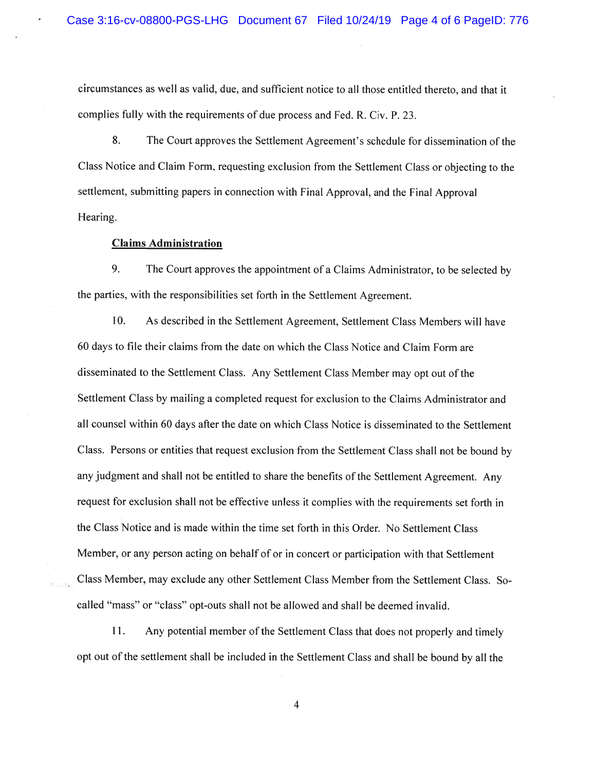circumstances as well as valid, due, and sufficient notice to all those entitled thereto, and that it complies fully with the requirements of due process and Fed. R. Civ. P. 23.

8. The Court approves the Settlement Agreement's schedule for dissemination of the Class Notice and Claim Form, requesting exclusion from the Settlement Class or objecting to the settlement, submitting papers in connection with Final Approval, and the Final Approval Hearing.

# Claims Administration

9. The Court approves the appointment of <sup>a</sup> Claims Administrator, to be selected by the parties, with the responsibilities set forth in the Settlement Agreement.

10. As described in the Settlement Agreement, Settlement Class Members will have 60 days to file their claims from the date on which the Class Notice and Claim Form are disseminated to the Settlement Class. Any Settlement Class Member may op<sup>t</sup> out of the Settlement Class by mailing <sup>a</sup> completed reques<sup>t</sup> for exclusion to the Claims Administrator and all counsel within 60 days after the date on which Class Notice is disseminated to the Settlement Class. Persons or entities that reques<sup>t</sup> exclusion from the Settlement Class shall not be bound by any judgment and shall not be entitled to share the benefits of the Settlement Agreement. Any reques<sup>t</sup> for exclusion shall not be effective unless it complies with the requirements set forth in the Class Notice and is made within the time set forth in this Order. No Settlement Class Member, or any person acting on behalf of or in concert or participation with that Settlement Class Member, may exclude any other Settlement Class Member from the Settlement Class. So called "mass" or "class" opt-outs shall not be allowed and shall be deemed invalid.

11. Any potential member of the Settlement Class that does not properly and timely op<sup>t</sup> out of the settlement shall be included in the Settlement Class and shall be bound by all the

4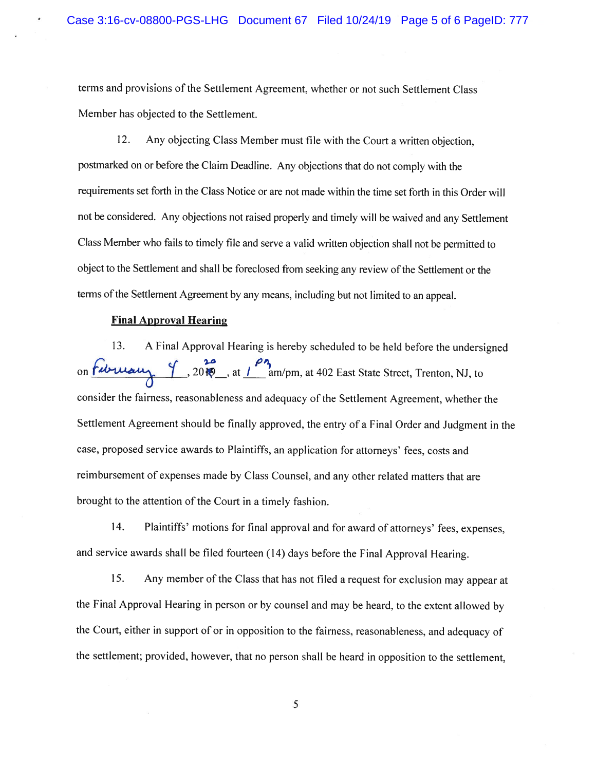terms and provisions of the Settlement Agreement, whether or not such Settlement Class Member has objected to the Settlement.

12. Any objecting Class Member must file with the Court <sup>a</sup> written objection, postmarked on or before the Claim Deadline. Any objections that do not comply with the requirements set forth in the Class Notice or are not made within the time set forth in this Order will not be considered. Any objections not raised properly and timely will be waived and any Settlement Class Member who fails to timely file and serve <sup>a</sup> valid written objection shall not be permitted to object to the Settlement and shall be foreclosed from seeking any review of the Settlement or the terms of the Settlement Agreement by any means, including but not limited to an appeal.

### **Final Approval Hearing**

13. <sup>A</sup> Final Approval Hearing is hereby scheduled to be held before the undersigned on *fibruary* 9, 2010, at 1<sup>04</sup> am/pm, at 402 East State Street, Trenton, NJ, to consider the fairness, reasonableness and adequacy of the Settlement Agreement, whether the Settlement Agreement should be finally approved, the entry of <sup>a</sup> Final Order and Judgment in the case, proposed service awards to Plaintiffs, an application for attorneys' fees, costs and reimbursement of expenses made by Class Counsel, and any other related matters that are brought to the attention of the Court in a timely fashion.

14. Plaintiffs' motions for final approval and for award of attorneys' fees, expenses, and service awards shall be filed fourteen (14) days before the Final Approval Hearing.

15. Any member of the Class that has not filed <sup>a</sup> request for exclusion may appear at the Final Approval Hearing in person or by counsel and may be heard, to the extent allowed by the Court, either in support of or in opposition to the fairness, reasonableness, and adequacy of the settlement; provided, however, that no person shall be heard in opposition to the settlement,

5